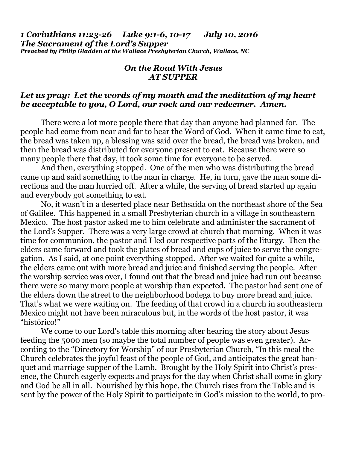*1 Corinthians 11:23-26 Luke 9:1-6, 10-17 July 10, 2016 The Sacrament of the Lord's Supper Preached by Philip Gladden at the Wallace Presbyterian Church, Wallace, NC* 

## *On the Road With Jesus AT SUPPER*

## *Let us pray: Let the words of my mouth and the meditation of my heart be acceptable to you, O Lord, our rock and our redeemer. Amen.*

There were a lot more people there that day than anyone had planned for. The people had come from near and far to hear the Word of God. When it came time to eat, the bread was taken up, a blessing was said over the bread, the bread was broken, and then the bread was distributed for everyone present to eat. Because there were so many people there that day, it took some time for everyone to be served.

 And then, everything stopped. One of the men who was distributing the bread came up and said something to the man in charge. He, in turn, gave the man some directions and the man hurried off. After a while, the serving of bread started up again and everybody got something to eat.

 No, it wasn't in a deserted place near Bethsaida on the northeast shore of the Sea of Galilee. This happened in a small Presbyterian church in a village in southeastern Mexico. The host pastor asked me to him celebrate and administer the sacrament of the Lord's Supper. There was a very large crowd at church that morning. When it was time for communion, the pastor and I led our respective parts of the liturgy. Then the elders came forward and took the plates of bread and cups of juice to serve the congregation. As I said, at one point everything stopped. After we waited for quite a while, the elders came out with more bread and juice and finished serving the people. After the worship service was over, I found out that the bread and juice had run out because there were so many more people at worship than expected. The pastor had sent one of the elders down the street to the neighborhood bodega to buy more bread and juice. That's what we were waiting on. The feeding of that crowd in a church in southeastern Mexico might not have been miraculous but, in the words of the host pastor, it was "histórico!"

 We come to our Lord's table this morning after hearing the story about Jesus feeding the 5000 men (so maybe the total number of people was even greater). According to the "Directory for Worship" of our Presbyterian Church, "In this meal the Church celebrates the joyful feast of the people of God, and anticipates the great banquet and marriage supper of the Lamb. Brought by the Holy Spirit into Christ's presence, the Church eagerly expects and prays for the day when Christ shall come in glory and God be all in all. Nourished by this hope, the Church rises from the Table and is sent by the power of the Holy Spirit to participate in God's mission to the world, to pro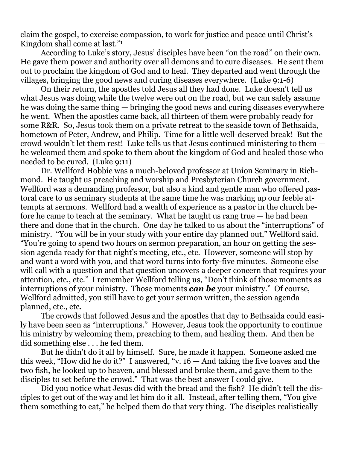claim the gospel, to exercise compassion, to work for justice and peace until Christ's Kingdom shall come at last."1

 According to Luke's story, Jesus' disciples have been "on the road" on their own. He gave them power and authority over all demons and to cure diseases. He sent them out to proclaim the kingdom of God and to heal. They departed and went through the villages, bringing the good news and curing diseases everywhere. (Luke 9:1-6)

 On their return, the apostles told Jesus all they had done. Luke doesn't tell us what Jesus was doing while the twelve were out on the road, but we can safely assume he was doing the same thing — bringing the good news and curing diseases everywhere he went. When the apostles came back, all thirteen of them were probably ready for some R&R. So, Jesus took them on a private retreat to the seaside town of Bethsaida, hometown of Peter, Andrew, and Philip. Time for a little well-deserved break! But the crowd wouldn't let them rest! Luke tells us that Jesus continued ministering to them he welcomed them and spoke to them about the kingdom of God and healed those who needed to be cured. (Luke 9:11)

 Dr. Wellford Hobbie was a much-beloved professor at Union Seminary in Richmond. He taught us preaching and worship and Presbyterian Church government. Wellford was a demanding professor, but also a kind and gentle man who offered pastoral care to us seminary students at the same time he was marking up our feeble attempts at sermons. Wellford had a wealth of experience as a pastor in the church before he came to teach at the seminary. What he taught us rang true — he had been there and done that in the church. One day he talked to us about the "interruptions" of ministry. "You will be in your study with your entire day planned out," Wellford said. "You're going to spend two hours on sermon preparation, an hour on getting the session agenda ready for that night's meeting, etc., etc. However, someone will stop by and want a word with you, and that word turns into forty-five minutes. Someone else will call with a question and that question uncovers a deeper concern that requires your attention, etc., etc." I remember Wellford telling us, "Don't think of those moments as interruptions of your ministry. Those moments *can be* your ministry." Of course, Wellford admitted, you still have to get your sermon written, the session agenda planned, etc., etc.

 The crowds that followed Jesus and the apostles that day to Bethsaida could easily have been seen as "interruptions." However, Jesus took the opportunity to continue his ministry by welcoming them, preaching to them, and healing them. And then he did something else . . . he fed them.

 But he didn't do it all by himself. Sure, he made it happen. Someone asked me this week, "How did he do it?" I answered, "v.  $16 -$  And taking the five loaves and the two fish, he looked up to heaven, and blessed and broke them, and gave them to the disciples to set before the crowd." That was the best answer I could give.

 Did you notice what Jesus did with the bread and the fish? He didn't tell the disciples to get out of the way and let him do it all. Instead, after telling them, "You give them something to eat," he helped them do that very thing. The disciples realistically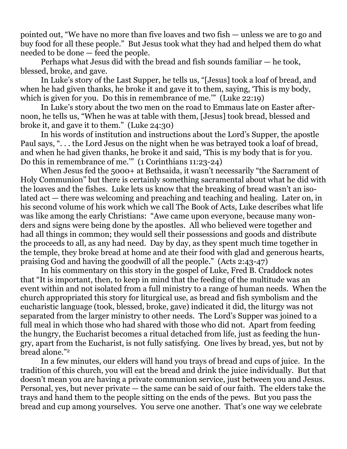pointed out, "We have no more than five loaves and two fish — unless we are to go and buy food for all these people." But Jesus took what they had and helped them do what needed to be done — feed the people.

 Perhaps what Jesus did with the bread and fish sounds familiar — he took, blessed, broke, and gave.

 In Luke's story of the Last Supper, he tells us, "[Jesus] took a loaf of bread, and when he had given thanks, he broke it and gave it to them, saying, 'This is my body, which is given for you. Do this in remembrance of me." (Luke 22:19)

 In Luke's story about the two men on the road to Emmaus late on Easter afternoon, he tells us, "When he was at table with them, [Jesus] took bread, blessed and broke it, and gave it to them." (Luke 24:30)

 In his words of institution and instructions about the Lord's Supper, the apostle Paul says, ". . . the Lord Jesus on the night when he was betrayed took a loaf of bread, and when he had given thanks, he broke it and said, 'This is my body that is for you. Do this in remembrance of me.'" (1 Corinthians 11:23-24)

 When Jesus fed the 5000+ at Bethsaida, it wasn't necessarily "the Sacrament of Holy Communion" but there is certainly something sacramental about what he did with the loaves and the fishes. Luke lets us know that the breaking of bread wasn't an isolated act — there was welcoming and preaching and teaching and healing. Later on, in his second volume of his work which we call The Book of Acts, Luke describes what life was like among the early Christians: "Awe came upon everyone, because many wonders and signs were being done by the apostles. All who believed were together and had all things in common; they would sell their possessions and goods and distribute the proceeds to all, as any had need. Day by day, as they spent much time together in the temple, they broke bread at home and ate their food with glad and generous hearts, praising God and having the goodwill of all the people." (Acts 2:43-47)

 In his commentary on this story in the gospel of Luke, Fred B. Craddock notes that "It is important, then, to keep in mind that the feeding of the multitude was an event within and not isolated from a full ministry to a range of human needs. When the church appropriated this story for liturgical use, as bread and fish symbolism and the eucharistic language (took, blessed, broke, gave) indicated it did, the liturgy was not separated from the larger ministry to other needs. The Lord's Supper was joined to a full meal in which those who had shared with those who did not. Apart from feeding the hungry, the Eucharist becomes a ritual detached from life, just as feeding the hungry, apart from the Eucharist, is not fully satisfying. One lives by bread, yes, but not by bread alone."2

 In a few minutes, our elders will hand you trays of bread and cups of juice. In the tradition of this church, you will eat the bread and drink the juice individually. But that doesn't mean you are having a private communion service, just between you and Jesus. Personal, yes, but never private — the same can be said of our faith. The elders take the trays and hand them to the people sitting on the ends of the pews. But you pass the bread and cup among yourselves. You serve one another. That's one way we celebrate